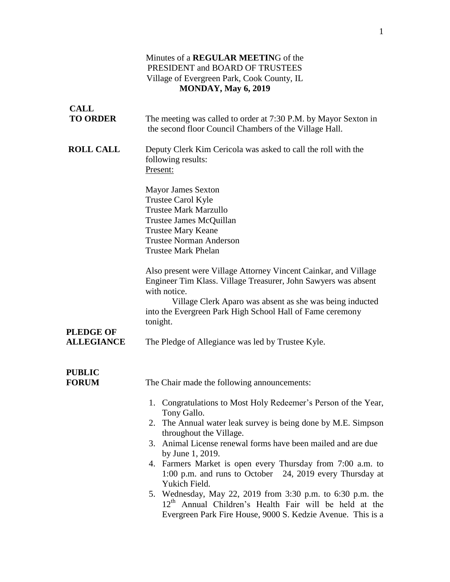#### Minutes of a **REGULAR MEETIN**G of the PRESIDENT and BOARD OF TRUSTEES Village of Evergreen Park, Cook County, IL **MONDAY, May 6, 2019**

| <b>CALL</b>                           |                                                                                                                                                                                                                                                                                                                                                                                                          |
|---------------------------------------|----------------------------------------------------------------------------------------------------------------------------------------------------------------------------------------------------------------------------------------------------------------------------------------------------------------------------------------------------------------------------------------------------------|
| <b>TO ORDER</b>                       | The meeting was called to order at 7:30 P.M. by Mayor Sexton in<br>the second floor Council Chambers of the Village Hall.                                                                                                                                                                                                                                                                                |
| <b>ROLL CALL</b>                      | Deputy Clerk Kim Cericola was asked to call the roll with the<br>following results:<br>Present:                                                                                                                                                                                                                                                                                                          |
|                                       | <b>Mayor James Sexton</b><br>Trustee Carol Kyle<br><b>Trustee Mark Marzullo</b><br>Trustee James McQuillan<br><b>Trustee Mary Keane</b><br><b>Trustee Norman Anderson</b><br><b>Trustee Mark Phelan</b>                                                                                                                                                                                                  |
|                                       | Also present were Village Attorney Vincent Cainkar, and Village<br>Engineer Tim Klass. Village Treasurer, John Sawyers was absent<br>with notice.                                                                                                                                                                                                                                                        |
|                                       | Village Clerk Aparo was absent as she was being inducted<br>into the Evergreen Park High School Hall of Fame ceremony<br>tonight.                                                                                                                                                                                                                                                                        |
| <b>PLEDGE OF</b><br><b>ALLEGIANCE</b> | The Pledge of Allegiance was led by Trustee Kyle.                                                                                                                                                                                                                                                                                                                                                        |
| <b>PUBLIC</b><br><b>FORUM</b>         | The Chair made the following announcements:                                                                                                                                                                                                                                                                                                                                                              |
|                                       | 1. Congratulations to Most Holy Redeemer's Person of the Year,<br>Tony Gallo.<br>2. The Annual water leak survey is being done by M.E. Simpson<br>throughout the Village.<br>3. Animal License renewal forms have been mailed and are due<br>by June 1, 2019.<br>4. Farmers Market is open every Thursday from 7:00 a.m. to<br>1:00 p.m. and runs to October 24, 2019 every Thursday at<br>Yukich Field. |
|                                       | 5. Wednesday, May 22, 2019 from 3:30 p.m. to 6:30 p.m. the<br>12 <sup>th</sup> Annual Children's Health Fair will be held at the<br>Evergreen Park Fire House, 9000 S. Kedzie Avenue. This is a                                                                                                                                                                                                          |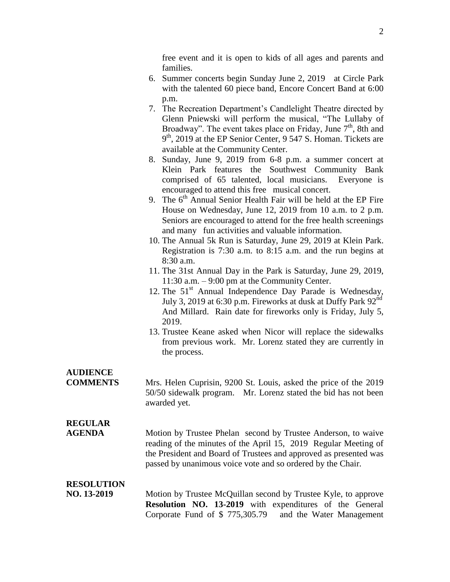free event and it is open to kids of all ages and parents and families.

- 6. Summer concerts begin Sunday June 2, 2019 at Circle Park with the talented 60 piece band, Encore Concert Band at 6:00 p.m.
- 7. The Recreation Department's Candlelight Theatre directed by Glenn Pniewski will perform the musical, "The Lullaby of Broadway". The event takes place on Friday, June 7<sup>th</sup>, 8th and 9 th, 2019 at the EP Senior Center, 9 547 S. Homan. Tickets are available at the Community Center.
- 8. Sunday, June 9, 2019 from 6-8 p.m. a summer concert at Klein Park features the Southwest Community Bank comprised of 65 talented, local musicians. Everyone is encouraged to attend this free musical concert.
- 9. The  $6<sup>th</sup>$  Annual Senior Health Fair will be held at the EP Fire House on Wednesday, June 12, 2019 from 10 a.m. to 2 p.m. Seniors are encouraged to attend for the free health screenings and many fun activities and valuable information.
- 10. The Annual 5k Run is Saturday, June 29, 2019 at Klein Park. Registration is 7:30 a.m. to 8:15 a.m. and the run begins at 8:30 a.m.
- 11. The 31st Annual Day in the Park is Saturday, June 29, 2019, 11:30 a.m. – 9:00 pm at the Community Center.
- 12. The  $51<sup>st</sup>$  Annual Independence Day Parade is Wednesday, July 3, 2019 at 6:30 p.m. Fireworks at dusk at Duffy Park  $92<sup>nd</sup>$ And Millard. Rain date for fireworks only is Friday, July 5, 2019.
- 13. Trustee Keane asked when Nicor will replace the sidewalks from previous work. Mr. Lorenz stated they are currently in the process.

# **AUDIENCE**

**COMMENTS** Mrs. Helen Cuprisin, 9200 St. Louis, asked the price of the 2019 50/50 sidewalk program. Mr. Lorenz stated the bid has not been awarded yet.

# **REGULAR**

**AGENDA** Motion by Trustee Phelan second by Trustee Anderson, to waive reading of the minutes of the April 15, 2019 Regular Meeting of the President and Board of Trustees and approved as presented was passed by unanimous voice vote and so ordered by the Chair.

### **RESOLUTION**

**NO. 13-2019** Motion by Trustee McQuillan second by Trustee Kyle, to approve **Resolution NO. 13-2019** with expenditures of the General Corporate Fund of \$ 775,305.79 and the Water Management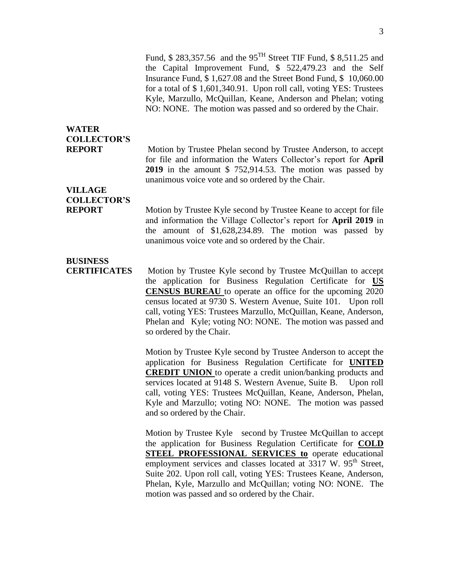Fund, \$ 283,357.56 and the 95TH Street TIF Fund, \$ 8,511.25 and the Capital Improvement Fund, \$ 522,479.23 and the Self Insurance Fund, \$ 1,627.08 and the Street Bond Fund, \$ 10,060.00 for a total of \$ 1,601,340.91. Upon roll call, voting YES: Trustees Kyle, Marzullo, McQuillan, Keane, Anderson and Phelan; voting NO: NONE. The motion was passed and so ordered by the Chair.

## **WATER COLLECTOR'S**

**REPORT** Motion by Trustee Phelan second by Trustee Anderson, to accept for file and information the Waters Collector's report for **April 2019** in the amount \$ 752,914.53. The motion was passed by unanimous voice vote and so ordered by the Chair.

# **VILLAGE COLLECTOR'S**

**REPORT** Motion by Trustee Kyle second by Trustee Keane to accept for file and information the Village Collector's report for **April 2019** in the amount of \$1,628,234.89. The motion was passed by unanimous voice vote and so ordered by the Chair.

### **BUSINESS**

**CERTIFICATES** Motion by Trustee Kyle second by Trustee McQuillan to accept the application for Business Regulation Certificate for **US CENSUS BUREAU** to operate an office for the upcoming 2020 census located at 9730 S. Western Avenue, Suite 101. Upon roll call, voting YES: Trustees Marzullo, McQuillan, Keane, Anderson, Phelan and Kyle; voting NO: NONE. The motion was passed and so ordered by the Chair.

> Motion by Trustee Kyle second by Trustee Anderson to accept the application for Business Regulation Certificate for **UNITED CREDIT UNION** to operate a credit union/banking products and services located at 9148 S. Western Avenue, Suite B. Upon roll call, voting YES: Trustees McQuillan, Keane, Anderson, Phelan, Kyle and Marzullo; voting NO: NONE. The motion was passed and so ordered by the Chair.

> Motion by Trustee Kyle second by Trustee McQuillan to accept the application for Business Regulation Certificate for **COLD STEEL PROFESSIONAL SERVICES to** operate educational employment services and classes located at 3317 W. 95<sup>th</sup> Street, Suite 202. Upon roll call, voting YES: Trustees Keane, Anderson, Phelan, Kyle, Marzullo and McQuillan; voting NO: NONE. The motion was passed and so ordered by the Chair.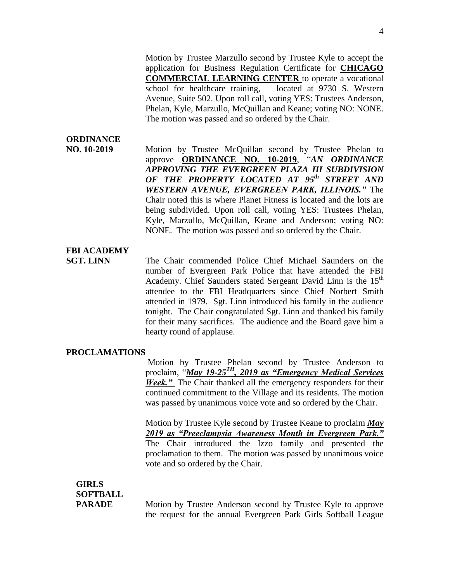Motion by Trustee Marzullo second by Trustee Kyle to accept the application for Business Regulation Certificate for **CHICAGO COMMERCIAL LEARNING CENTER** to operate a vocational school for healthcare training, located at 9730 S. Western Avenue, Suite 502. Upon roll call, voting YES: Trustees Anderson, Phelan, Kyle, Marzullo, McQuillan and Keane; voting NO: NONE. The motion was passed and so ordered by the Chair.

### **ORDINANCE**

**NO. 10-2019** Motion by Trustee McQuillan second by Trustee Phelan to approve **ORDINANCE NO. 10-2019**, "*AN ORDINANCE APPROVING THE EVERGREEN PLAZA III SUBDIVISION OF THE PROPERTY LOCATED AT 95th STREET AND WESTERN AVENUE, EVERGREEN PARK, ILLINOIS."* The Chair noted this is where Planet Fitness is located and the lots are being subdivided. Upon roll call, voting YES: Trustees Phelan, Kyle, Marzullo, McQuillan, Keane and Anderson; voting NO: NONE. The motion was passed and so ordered by the Chair.

#### **FBI ACADEMY**

**SGT. LINN** The Chair commended Police Chief Michael Saunders on the number of Evergreen Park Police that have attended the FBI Academy. Chief Saunders stated Sergeant David Linn is the 15<sup>th</sup> attendee to the FBI Headquarters since Chief Norbert Smith attended in 1979. Sgt. Linn introduced his family in the audience tonight. The Chair congratulated Sgt. Linn and thanked his family for their many sacrifices. The audience and the Board gave him a hearty round of applause.

#### **PROCLAMATIONS**

Motion by Trustee Phelan second by Trustee Anderson to proclaim, "*May 19-25 TH , 2019 as "Emergency Medical Services Week.*" The Chair thanked all the emergency responders for their continued commitment to the Village and its residents. The motion was passed by unanimous voice vote and so ordered by the Chair.

Motion by Trustee Kyle second by Trustee Keane to proclaim *May 2019 as "Preeclampsia Awareness Month in Evergreen Park."* The Chair introduced the Izzo family and presented the proclamation to them. The motion was passed by unanimous voice vote and so ordered by the Chair.

# **GIRLS SOFTBALL**

**PARADE** Motion by Trustee Anderson second by Trustee Kyle to approve the request for the annual Evergreen Park Girls Softball League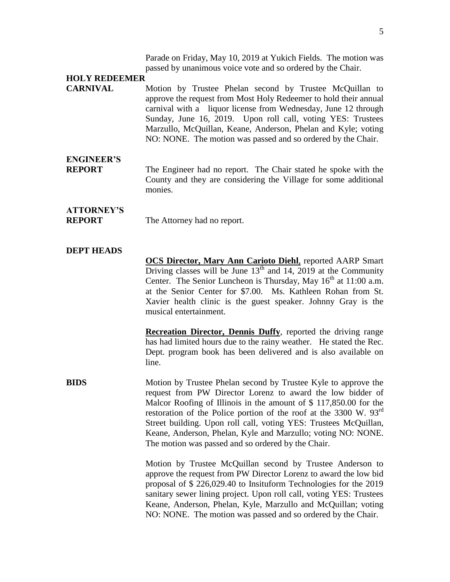Parade on Friday, May 10, 2019 at Yukich Fields. The motion was passed by unanimous voice vote and so ordered by the Chair.

#### **HOLY REDEEMER**

**CARNIVAL** Motion by Trustee Phelan second by Trustee McQuillan to approve the request from Most Holy Redeemer to hold their annual carnival with a liquor license from Wednesday, June 12 through Sunday, June 16, 2019. Upon roll call, voting YES: Trustees Marzullo, McQuillan, Keane, Anderson, Phelan and Kyle; voting NO: NONE. The motion was passed and so ordered by the Chair.

### **ENGINEER'S**

**REPORT** The Engineer had no report. The Chair stated he spoke with the County and they are considering the Village for some additional monies.

# **ATTORNEY'S**

**REPORT** The Attorney had no report.

#### **DEPT HEADS**

**OCS Director, Mary Ann Carioto Diehl**, reported AARP Smart Driving classes will be June  $13<sup>th</sup>$  and 14, 2019 at the Community Center. The Senior Luncheon is Thursday, May  $16<sup>th</sup>$  at  $11:00$  a.m. at the Senior Center for \$7.00. Ms. Kathleen Rohan from St. Xavier health clinic is the guest speaker. Johnny Gray is the musical entertainment.

**Recreation Director, Dennis Duffy**, reported the driving range has had limited hours due to the rainy weather. He stated the Rec. Dept. program book has been delivered and is also available on line.

**BIDS** Motion by Trustee Phelan second by Trustee Kyle to approve the request from PW Director Lorenz to award the low bidder of Malcor Roofing of Illinois in the amount of \$ 117,850.00 for the restoration of the Police portion of the roof at the 3300 W.  $93<sup>rd</sup>$ Street building. Upon roll call, voting YES: Trustees McQuillan, Keane, Anderson, Phelan, Kyle and Marzullo; voting NO: NONE. The motion was passed and so ordered by the Chair.

> Motion by Trustee McQuillan second by Trustee Anderson to approve the request from PW Director Lorenz to award the low bid proposal of \$ 226,029.40 to Insituform Technologies for the 2019 sanitary sewer lining project. Upon roll call, voting YES: Trustees Keane, Anderson, Phelan, Kyle, Marzullo and McQuillan; voting NO: NONE. The motion was passed and so ordered by the Chair.